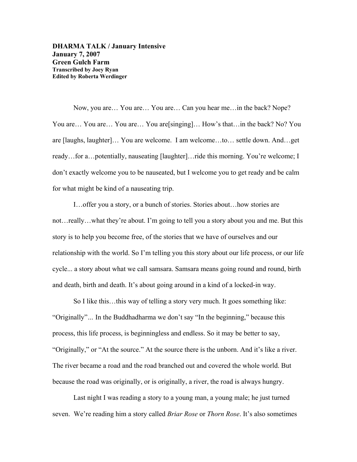**DHARMA TALK / January Intensive January 7, 2007 Green Gulch Farm Transcribed by Joey Ryan Edited by Roberta Werdinger**

Now, you are… You are… You are… Can you hear me…in the back? Nope? You are... You are... You are... You are[singing]... How's that...in the back? No? You are [laughs, laughter]… You are welcome. I am welcome…to… settle down. And…get ready…for a…potentially, nauseating [laughter]…ride this morning. You're welcome; I don't exactly welcome you to be nauseated, but I welcome you to get ready and be calm for what might be kind of a nauseating trip.

I…offer you a story, or a bunch of stories. Stories about…how stories are not…really…what they're about. I'm going to tell you a story about you and me. But this story is to help you become free, of the stories that we have of ourselves and our relationship with the world. So I'm telling you this story about our life process, or our life cycle... a story about what we call samsara. Samsara means going round and round, birth and death, birth and death. It's about going around in a kind of a locked-in way.

So I like this…this way of telling a story very much. It goes something like: "Originally"*…* In the Buddhadharma we don't say "In the beginning," because this process, this life process, is beginningless and endless. So it may be better to say, "Originally," or "At the source." At the source there is the unborn. And it's like a river. The river became a road and the road branched out and covered the whole world. But because the road was originally, or is originally, a river, the road is always hungry.

Last night I was reading a story to a young man, a young male; he just turned seven. We're reading him a story called *Briar Rose* or *Thorn Rose*. It's also sometimes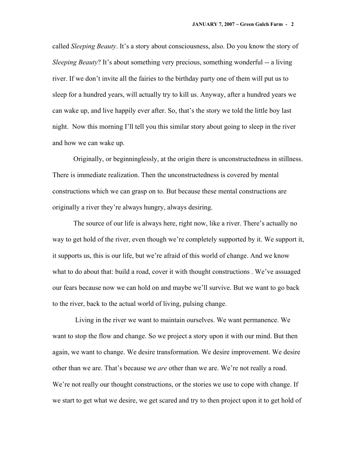called *Sleeping Beauty*. It's a story about consciousness, also. Do you know the story of *Sleeping Beauty*? It's about something very precious, something wonderful -- a living river. If we don't invite all the fairies to the birthday party one of them will put us to sleep for a hundred years, will actually try to kill us. Anyway, after a hundred years we can wake up, and live happily ever after. So, that's the story we told the little boy last night. Now this morning I'll tell you this similar story about going to sleep in the river and how we can wake up.

Originally, or beginninglessly, at the origin there is unconstructedness in stillness. There is immediate realization. Then the unconstructedness is covered by mental constructions which we can grasp on to. But because these mental constructions are originally a river they're always hungry, always desiring.

The source of our life is always here, right now, like a river. There's actually no way to get hold of the river, even though we're completely supported by it. We support it, it supports us, this is our life, but we're afraid of this world of change. And we know what to do about that: build a road, cover it with thought constructions. We've assuaged our fears because now we can hold on and maybe we'll survive. But we want to go back to the river, back to the actual world of living, pulsing change.

 Living in the river we want to maintain ourselves. We want permanence. We want to stop the flow and change. So we project a story upon it with our mind. But then again, we want to change. We desire transformation. We desire improvement. We desire other than we are. That's because we *are* other than we are. We're not really a road. We're not really our thought constructions, or the stories we use to cope with change. If we start to get what we desire, we get scared and try to then project upon it to get hold of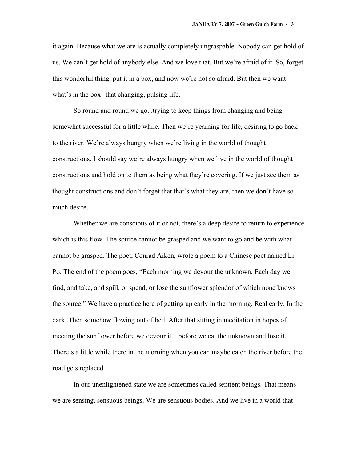it again. Because what we are is actually completely ungraspable. Nobody can get hold of us. We can't get hold of anybody else. And we love that. But we're afraid of it. So, forget this wonderful thing, put it in a box, and now we're not so afraid. But then we want what's in the box--that changing, pulsing life.

So round and round we go...trying to keep things from changing and being somewhat successful for a little while. Then we're yearning for life, desiring to go back to the river. We're always hungry when we're living in the world of thought constructions. I should say we're always hungry when we live in the world of thought constructions and hold on to them as being what they're covering. If we just see them as thought constructions and don't forget that that's what they are, then we don't have so much desire.

Whether we are conscious of it or not, there's a deep desire to return to experience which is this flow. The source cannot be grasped and we want to go and be with what cannot be grasped. The poet, Conrad Aiken, wrote a poem to a Chinese poet named Li Po. The end of the poem goes, "Each morning we devour the unknown. Each day we find, and take, and spill, or spend, or lose the sunflower splendor of which none knows the source." We have a practice here of getting up early in the morning. Real early. In the dark. Then somehow flowing out of bed. After that sitting in meditation in hopes of meeting the sunflower before we devour it…before we eat the unknown and lose it. There's a little while there in the morning when you can maybe catch the river before the road gets replaced.

In our unenlightened state we are sometimes called sentient beings. That means we are sensing, sensuous beings. We are sensuous bodies. And we live in a world that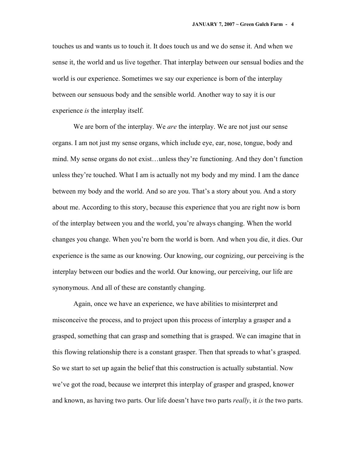touches us and wants us to touch it. It does touch us and we do sense it. And when we sense it, the world and us live together. That interplay between our sensual bodies and the world is our experience. Sometimes we say our experience is born of the interplay between our sensuous body and the sensible world. Another way to say it is our experience *is* the interplay itself.

We are born of the interplay. We *are* the interplay. We are not just our sense organs. I am not just my sense organs, which include eye, ear, nose, tongue, body and mind. My sense organs do not exist…unless they're functioning. And they don't function unless they're touched. What I am is actually not my body and my mind. I am the dance between my body and the world. And so are you. That's a story about you. And a story about me. According to this story, because this experience that you are right now is born of the interplay between you and the world, you're always changing. When the world changes you change. When you're born the world is born. And when you die, it dies. Our experience is the same as our knowing. Our knowing, our cognizing, our perceiving is the interplay between our bodies and the world. Our knowing, our perceiving, our life are synonymous. And all of these are constantly changing.

Again, once we have an experience, we have abilities to misinterpret and misconceive the process, and to project upon this process of interplay a grasper and a grasped, something that can grasp and something that is grasped. We can imagine that in this flowing relationship there is a constant grasper. Then that spreads to what's grasped. So we start to set up again the belief that this construction is actually substantial. Now we've got the road, because we interpret this interplay of grasper and grasped, knower and known, as having two parts. Our life doesn't have two parts *really*, it *is* the two parts.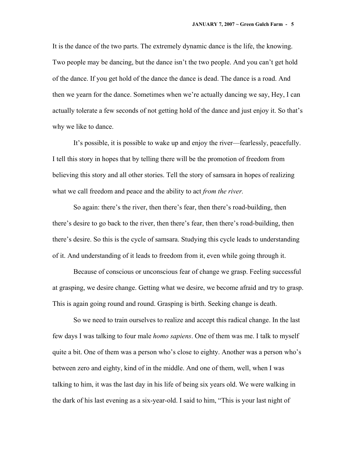It is the dance of the two parts. The extremely dynamic dance is the life, the knowing. Two people may be dancing, but the dance isn't the two people. And you can't get hold of the dance. If you get hold of the dance the dance is dead. The dance is a road. And then we yearn for the dance. Sometimes when we're actually dancing we say, Hey, I can actually tolerate a few seconds of not getting hold of the dance and just enjoy it. So that's why we like to dance.

It's possible, it is possible to wake up and enjoy the river—fearlessly, peacefully. I tell this story in hopes that by telling there will be the promotion of freedom from believing this story and all other stories. Tell the story of samsara in hopes of realizing what we call freedom and peace and the ability to act *from the river.*

So again: there's the river, then there's fear, then there's road-building, then there's desire to go back to the river, then there's fear, then there's road-building, then there's desire. So this is the cycle of samsara. Studying this cycle leads to understanding of it. And understanding of it leads to freedom from it, even while going through it.

Because of conscious or unconscious fear of change we grasp. Feeling successful at grasping, we desire change. Getting what we desire, we become afraid and try to grasp. This is again going round and round. Grasping is birth. Seeking change is death.

So we need to train ourselves to realize and accept this radical change. In the last few days I was talking to four male *homo sapiens*. One of them was me. I talk to myself quite a bit. One of them was a person who's close to eighty. Another was a person who's between zero and eighty, kind of in the middle. And one of them, well, when I was talking to him, it was the last day in his life of being six years old. We were walking in the dark of his last evening as a six-year-old. I said to him, "This is your last night of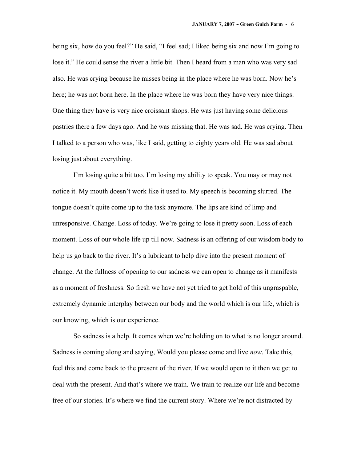being six, how do you feel?" He said, "I feel sad; I liked being six and now I'm going to lose it." He could sense the river a little bit. Then I heard from a man who was very sad also. He was crying because he misses being in the place where he was born. Now he's here; he was not born here. In the place where he was born they have very nice things. One thing they have is very nice croissant shops. He was just having some delicious pastries there a few days ago. And he was missing that. He was sad. He was crying. Then I talked to a person who was, like I said, getting to eighty years old. He was sad about losing just about everything.

I'm losing quite a bit too. I'm losing my ability to speak. You may or may not notice it. My mouth doesn't work like it used to. My speech is becoming slurred. The tongue doesn't quite come up to the task anymore. The lips are kind of limp and unresponsive. Change. Loss of today. We're going to lose it pretty soon. Loss of each moment. Loss of our whole life up till now. Sadness is an offering of our wisdom body to help us go back to the river. It's a lubricant to help dive into the present moment of change. At the fullness of opening to our sadness we can open to change as it manifests as a moment of freshness. So fresh we have not yet tried to get hold of this ungraspable, extremely dynamic interplay between our body and the world which is our life, which is our knowing, which is our experience.

So sadness is a help. It comes when we're holding on to what is no longer around. Sadness is coming along and saying, Would you please come and live *now*. Take this, feel this and come back to the present of the river. If we would open to it then we get to deal with the present. And that's where we train. We train to realize our life and become free of our stories. It's where we find the current story. Where we're not distracted by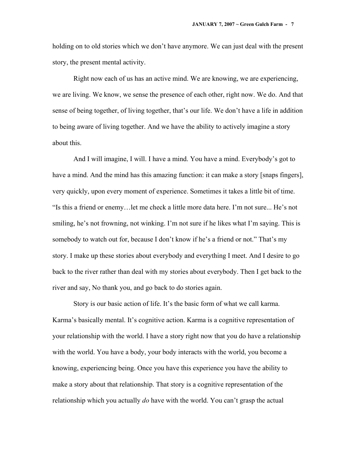holding on to old stories which we don't have anymore. We can just deal with the present story, the present mental activity.

Right now each of us has an active mind. We are knowing, we are experiencing, we are living. We know, we sense the presence of each other, right now. We do. And that sense of being together, of living together, that's our life. We don't have a life in addition to being aware of living together. And we have the ability to actively imagine a story about this.

And I will imagine, I will. I have a mind. You have a mind. Everybody's got to have a mind. And the mind has this amazing function: it can make a story [snaps fingers], very quickly, upon every moment of experience. Sometimes it takes a little bit of time. "Is this a friend or enemy…let me check a little more data here. I'm not sure... He's not smiling, he's not frowning, not winking. I'm not sure if he likes what I'm saying. This is somebody to watch out for, because I don't know if he's a friend or not." That's my story. I make up these stories about everybody and everything I meet. And I desire to go back to the river rather than deal with my stories about everybody. Then I get back to the river and say, No thank you, and go back to do stories again.

Story is our basic action of life. It's the basic form of what we call karma. Karma's basically mental. It's cognitive action. Karma is a cognitive representation of your relationship with the world. I have a story right now that you do have a relationship with the world. You have a body, your body interacts with the world, you become a knowing, experiencing being. Once you have this experience you have the ability to make a story about that relationship. That story is a cognitive representation of the relationship which you actually *do* have with the world. You can't grasp the actual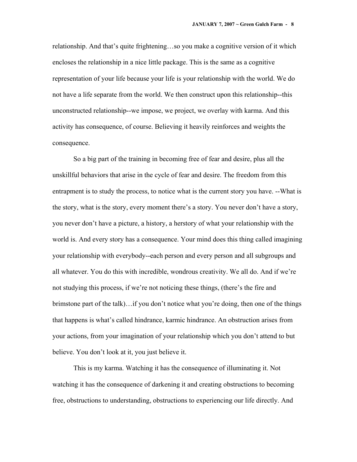relationship. And that's quite frightening…so you make a cognitive version of it which encloses the relationship in a nice little package. This is the same as a cognitive representation of your life because your life is your relationship with the world. We do not have a life separate from the world. We then construct upon this relationship--this unconstructed relationship--we impose, we project, we overlay with karma. And this activity has consequence, of course. Believing it heavily reinforces and weights the consequence.

So a big part of the training in becoming free of fear and desire, plus all the unskillful behaviors that arise in the cycle of fear and desire. The freedom from this entrapment is to study the process, to notice what is the current story you have. --What is the story, what is the story, every moment there's a story. You never don't have a story, you never don't have a picture, a history, a herstory of what your relationship with the world is. And every story has a consequence. Your mind does this thing called imagining your relationship with everybody--each person and every person and all subgroups and all whatever. You do this with incredible, wondrous creativity. We all do. And if we're not studying this process, if we're not noticing these things, (there's the fire and brimstone part of the talk)…if you don't notice what you're doing, then one of the things that happens is what's called hindrance, karmic hindrance. An obstruction arises from your actions, from your imagination of your relationship which you don't attend to but believe. You don't look at it, you just believe it.

This is my karma. Watching it has the consequence of illuminating it. Not watching it has the consequence of darkening it and creating obstructions to becoming free, obstructions to understanding, obstructions to experiencing our life directly. And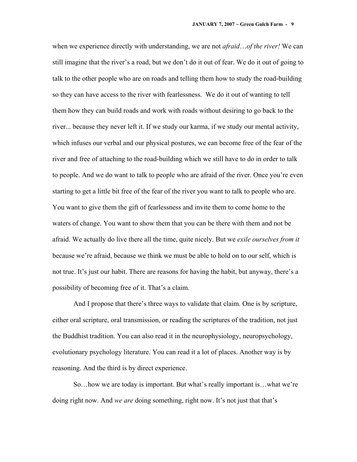when we experience directly with understanding, we are not *afraid*…*of the river!* We can still imagine that the river's a road, but we don't do it out of fear. We do it out of going to talk to the other people who are on roads and telling them how to study the road-building so they can have access to the river with fearlessness. We do it out of wanting to tell them how they can build roads and work with roads without desiring to go back to the river... because they never left it. If we study our karma, if we study our mental activity, which infuses our verbal and our physical postures, we can become free of the fear of the river and free of attaching to the road-building which we still have to do in order to talk to people. And we do want to talk to people who are afraid of the river. Once you're even starting to get a little bit free of the fear of the river you want to talk to people who are. You want to give them the gift of fearlessness and invite them to come home to the waters of change. You want to show them that you can be there with them and not be afraid. We actually do live there all the time, quite nicely. But we *exile ourselves from it* because we're afraid, because we think we must be able to hold on to our self, which is not true. It's just our habit. There are reasons for having the habit, but anyway, there's a possibility of becoming free of it. That's a claim.

And I propose that there's three ways to validate that claim. One is by scripture, either oral scripture, oral transmission, or reading the scriptures of the tradition, not just the Buddhist tradition. You can also read it in the neurophysiology, neuropsychology, evolutionary psychology literature. You can read it a lot of places. Another way is by reasoning. And the third is by direct experience.

So…how we are today is important. But what's really important is…what we're doing right now. And *we are* doing something, right now. It's not just that that's